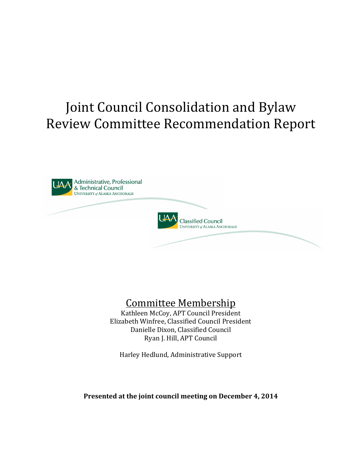# Joint Council Consolidation and Bylaw Review Committee Recommendation Report





## Committee Membership

Kathleen McCoy, APT Council President Elizabeth Winfree, Classified Council President Danielle Dixon, Classified Council Ryan J. Hill, APT Council

Harley Hedlund, Administrative Support

Presented at the joint council meeting on December 4, 2014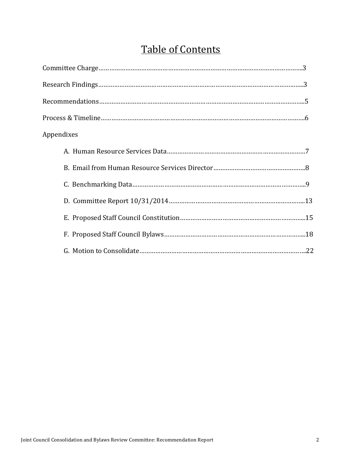## Table of Contents

| Appendixes |
|------------|
|            |
|            |
|            |
|            |
|            |
|            |
|            |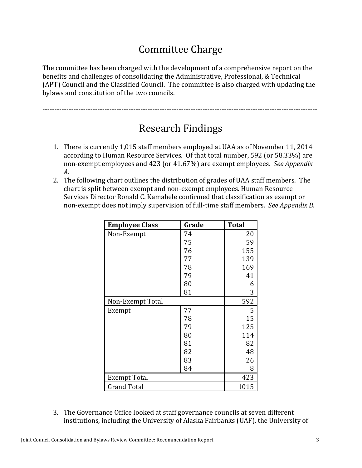## Committee Charge

The committee has been charged with the development of a comprehensive report on the benefits and challenges of consolidating the Administrative, Professional, & Technical (APT) Council and the Classified Council. The committee is also charged with updating the bylaws and constitution of the two councils.

**-------------------------------------------------------------------------------------------------------------------**

### **Research Findings**

- 1. There is currently 1,015 staff members employed at UAA as of November 11, 2014 according to Human Resource Services. Of that total number, 592 (or 58.33%) are non-exempt employees and 423 (or 41.67%) are exempt employees. See Appendix *A*.
- 2. The following chart outlines the distribution of grades of UAA staff members. The chart is split between exempt and non-exempt employees. Human Resource Services Director Ronald C. Kamahele confirmed that classification as exempt or non-exempt does not imply supervision of full-time staff members. See Appendix B.

| <b>Employee Class</b> | Grade | <b>Total</b> |
|-----------------------|-------|--------------|
| Non-Exempt            | 74    | 20           |
|                       | 75    | 59           |
|                       | 76    | 155          |
|                       | 77    | 139          |
|                       | 78    | 169          |
|                       | 79    | 41           |
|                       | 80    | 6            |
|                       | 81    | 3            |
| Non-Exempt Total      |       | 592          |
| Exempt                | 77    | 5            |
|                       | 78    | 15           |
|                       | 79    | 125          |
|                       | 80    | 114          |
|                       | 81    | 82           |
|                       | 82    | 48           |
|                       | 83    | 26           |
|                       | 84    | 8            |
| Exempt Total          |       | 423          |
| <b>Grand Total</b>    |       | 1015         |

3. The Governance Office looked at staff governance councils at seven different institutions, including the University of Alaska Fairbanks (UAF), the University of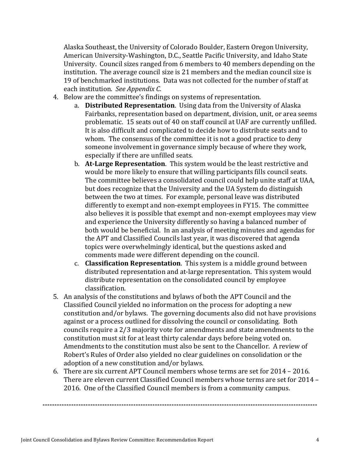Alaska Southeast, the University of Colorado Boulder, Eastern Oregon University, American University-Washington, D.C., Seattle Pacific University, and Idaho State University. Council sizes ranged from 6 members to 40 members depending on the institution. The average council size is 21 members and the median council size is 19 of benchmarked institutions. Data was not collected for the number of staff at each institution. See Appendix C.

- 4. Below are the committee's findings on systems of representation.
	- a. **Distributed Representation**. Using data from the University of Alaska Fairbanks, representation based on department, division, unit, or area seems problematic. 15 seats out of 40 on staff council at UAF are currently unfilled. It is also difficult and complicated to decide how to distribute seats and to whom. The consensus of the committee it is not a good practice to deny someone involvement in governance simply because of where they work, especially if there are unfilled seats.
	- b. **At-Large Representation**. This system would be the least restrictive and would be more likely to ensure that willing participants fills council seats. The committee believes a consolidated council could help unite staff at UAA, but does recognize that the University and the UA System do distinguish between the two at times. For example, personal leave was distributed differently to exempt and non-exempt employees in FY15. The committee also believes it is possible that exempt and non-exempt employees may view and experience the University differently so having a balanced number of both would be beneficial. In an analysis of meeting minutes and agendas for the APT and Classified Councils last year, it was discovered that agenda topics were overwhelmingly identical, but the questions asked and comments made were different depending on the council.
	- c. **Classification Representation**. This system is a middle ground between distributed representation and at-large representation. This system would distribute representation on the consolidated council by employee classification.
- 5. An analysis of the constitutions and bylaws of both the APT Council and the Classified Council yielded no information on the process for adopting a new constitution and/or bylaws. The governing documents also did not have provisions against or a process outlined for dissolving the council or consolidating. Both councils require a 2/3 majority vote for amendments and state amendments to the constitution must sit for at least thirty calendar days before being voted on. Amendments to the constitution must also be sent to the Chancellor. A review of Robert's Rules of Order also yielded no clear guidelines on consolidation or the adoption of a new constitution and/or bylaws.
- 6. There are six current APT Council members whose terms are set for  $2014 2016$ . There are eleven current Classified Council members whose terms are set for 2014 – 2016. One of the Classified Council members is from a community campus.

**-------------------------------------------------------------------------------------------------------------------**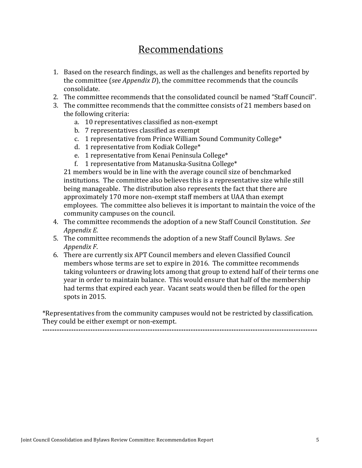### Recommendations

- 1. Based on the research findings, as well as the challenges and benefits reported by the committee (*see Appendix D*), the committee recommends that the councils consolidate.
- 2. The committee recommends that the consolidated council be named "Staff Council".
- 3. The committee recommends that the committee consists of 21 members based on the following criteria:
	- a. 10 representatives classified as non-exempt
	- b. 7 representatives classified as exempt
	- c. 1 representative from Prince William Sound Community College<sup>\*</sup>
	- d. 1 representative from Kodiak College\*
	- e. 1 representative from Kenai Peninsula College\*
	- f. 1 representative from Matanuska-Susitna College\*

21 members would be in line with the average council size of benchmarked institutions. The committee also believes this is a representative size while still being manageable. The distribution also represents the fact that there are approximately 170 more non-exempt staff members at UAA than exempt employees. The committee also believes it is important to maintain the voice of the community campuses on the council.

- 4. The committee recommends the adoption of a new Staff Council Constitution. See *Appendix E.*
- 5. The committee recommends the adoption of a new Staff Council Bylaws. See *Appendix F*.
- 6. There are currently six APT Council members and eleven Classified Council members whose terms are set to expire in 2016. The committee recommends taking volunteers or drawing lots among that group to extend half of their terms one year in order to maintain balance. This would ensure that half of the membership had terms that expired each year. Vacant seats would then be filled for the open spots in 2015.

\*Representatives from the community campuses would not be restricted by classification. They could be either exempt or non-exempt.

**-------------------------------------------------------------------------------------------------------------------**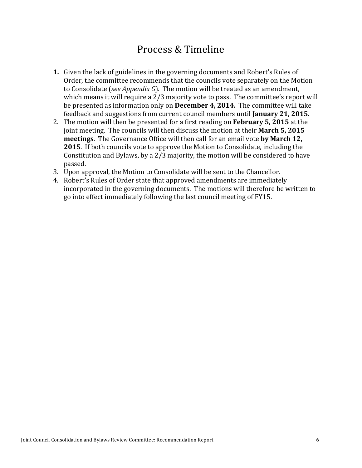### Process & Timeline

- **1.** Given the lack of guidelines in the governing documents and Robert's Rules of Order, the committee recommends that the councils vote separately on the Motion to Consolidate (*see Appendix G*). The motion will be treated as an amendment, which means it will require a  $2/3$  majority vote to pass. The committee's report will be presented as information only on **December 4, 2014.** The committee will take feedback and suggestions from current council members until **January 21, 2015.**
- 2. The motion will then be presented for a first reading on **February 5, 2015** at the joint meeting. The councils will then discuss the motion at their **March 5, 2015 meetings**. The Governance Office will then call for an email vote **by March 12**, **2015**. If both councils vote to approve the Motion to Consolidate, including the Constitution and Bylaws, by a  $2/3$  majority, the motion will be considered to have passed.
- 3. Upon approval, the Motion to Consolidate will be sent to the Chancellor.
- 4. Robert's Rules of Order state that approved amendments are immediately incorporated in the governing documents. The motions will therefore be written to go into effect immediately following the last council meeting of FY15.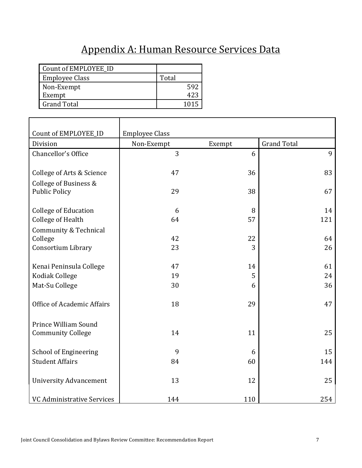## Appendix A: Human Resource Services Data

| Count of EMPLOYEE ID  |       |
|-----------------------|-------|
| <b>Employee Class</b> | Total |
| Non-Exempt            | 592   |
| Exempt                |       |
| <b>Grand Total</b>    | 1015  |

| Count of EMPLOYEE_ID                          | <b>Employee Class</b> |        |                    |
|-----------------------------------------------|-----------------------|--------|--------------------|
| Division                                      | Non-Exempt            | Exempt | <b>Grand Total</b> |
| Chancellor's Office                           | 3                     | 6      | 9                  |
| College of Arts & Science                     | 47                    | 36     | 83                 |
| College of Business &<br><b>Public Policy</b> | 29                    | 38     | 67                 |
| <b>College of Education</b>                   | 6                     | 8      | 14                 |
| <b>College of Health</b>                      | 64                    | 57     | 121                |
| Community & Technical                         |                       |        |                    |
| College                                       | 42                    | 22     | 64                 |
| Consortium Library                            | 23                    | 3      | 26                 |
|                                               |                       |        |                    |
| Kenai Peninsula College                       | 47                    | 14     | 61                 |
| Kodiak College                                | 19                    | 5      | 24                 |
| Mat-Su College                                | 30                    | 6      | 36                 |
| Office of Academic Affairs                    | 18                    | 29     | 47                 |
| Prince William Sound                          |                       |        |                    |
| <b>Community College</b>                      | 14                    | 11     | 25                 |
| <b>School of Engineering</b>                  | 9                     | 6      | 15                 |
| <b>Student Affairs</b>                        | 84                    | 60     | 144                |
| <b>University Advancement</b>                 | 13                    | 12     | 25                 |
| <b>VC Administrative Services</b>             | 144                   | 110    | 254                |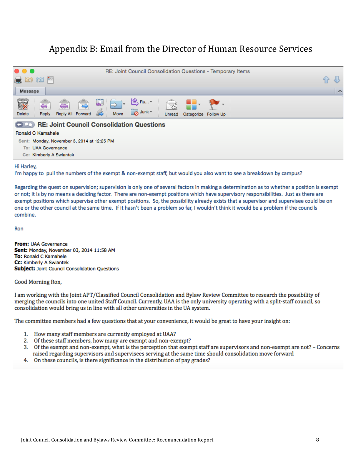### Appendix B: Email from the Director of Human Resource Services

| $\bullet$ $\bullet$ $\bullet$<br>RE: Joint Council Consolidation Questions - Temporary Items<br>$M \otimes \mathbb{Z}$ |                     |  |  |  |
|------------------------------------------------------------------------------------------------------------------------|---------------------|--|--|--|
| Message                                                                                                                | $\hat{\phantom{a}}$ |  |  |  |
| R<br>B Ru…▼<br>UBY<br><<br>Junk -<br>Reply All Forward<br>Move<br>Delete<br>Reply<br>Categorize Follow Up<br>Unread    |                     |  |  |  |
| <b>CDO RE: Joint Council Consolidation Questions</b>                                                                   |                     |  |  |  |
| Ronald C Kamahele                                                                                                      |                     |  |  |  |
| Sent: Monday, November 3, 2014 at 12:25 PM                                                                             |                     |  |  |  |
| To: UAA Governance                                                                                                     |                     |  |  |  |
| Cc: Kimberly A Swiantek                                                                                                |                     |  |  |  |

#### Hi Harley,

I'm happy to pull the numbers of the exempt & non-exempt staff, but would you also want to see a breakdown by campus?

Regarding the quest on supervision; supervision is only one of several factors in making a determination as to whether a position is exempt or not; it is by no means a deciding factor. There are non-exempt positions which have supervisory responsibilities. Just as there are exempt positions which supervise other exempt positions. So, the possibility already exists that a supervisor and supervisee could be on one or the other council at the same time. If it hasn't been a problem so far, I wouldn't think it would be a problem if the councils combine.

Ron

From: UAA Governance Sent: Monday, November 03, 2014 11:58 AM To: Ronald C Kamahele Cc: Kimberly A Swiantek **Subject: Joint Council Consolidation Questions** 

Good Morning Ron,

I am working with the Joint APT/Classified Council Consolidation and Bylaw Review Committee to research the possibility of merging the councils into one united Staff Council. Currently, UAA is the only university operating with a split-staff council, so consolidation would bring us in line with all other universities in the UA system.

The committee members had a few questions that at your convenience, it would be great to have your insight on:

- 1. How many staff members are currently employed at UAA?
- 2. Of these staff members, how many are exempt and non-exempt?
- 3. Of the exempt and non-exempt, what is the perception that exempt staff are supervisors and non-exempt are not? Concerns raised regarding supervisors and supervisees serving at the same time should consolidation move forward
- 4. On these councils, is there significance in the distribution of pay grades?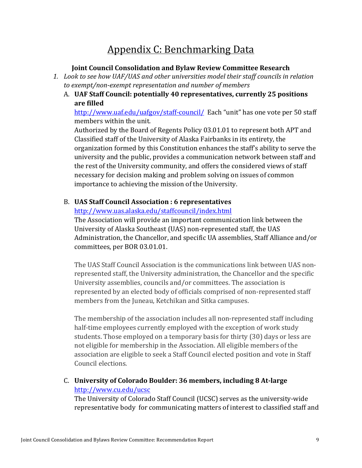## Appendix C: Benchmarking Data

#### **Joint Council Consolidation and Bylaw Review Committee Research**

- 1. Look to see how UAF/UAS and other universities model their staff councils in relation to exempt/non-exempt representation and number of members
	- A. UAF Staff Council: potentially 40 representatives, currently 25 positions **are filled**

http://www.uaf.edu/uafgov/staff-council/ Each "unit" has one vote per 50 staff members within the unit.

Authorized by the Board of Regents Policy 03.01.01 to represent both APT and Classified staff of the University of Alaska Fairbanks in its entirety, the organization formed by this Constitution enhances the staff's ability to serve the university and the public, provides a communication network between staff and the rest of the University community, and offers the considered views of staff necessary for decision making and problem solving on issues of common importance to achieving the mission of the University.

#### B. **UAS Staff Council Association : 6 representatives**

http://www.uas.alaska.edu/staffcouncil/index.html

The Association will provide an important communication link between the University of Alaska Southeast (UAS) non-represented staff, the UAS Administration, the Chancellor, and specific UA assemblies, Staff Alliance and/or committees, per BOR 03.01.01.

The UAS Staff Council Association is the communications link between UAS nonrepresented staff, the University administration, the Chancellor and the specific University assemblies, councils and/or committees. The association is represented by an elected body of officials comprised of non-represented staff members from the Juneau, Ketchikan and Sitka campuses.

The membership of the association includes all non-represented staff including half-time employees currently employed with the exception of work study students. Those employed on a temporary basis for thirty (30) days or less are not eligible for membership in the Association. All eligible members of the association are eligible to seek a Staff Council elected position and vote in Staff Council elections.

C. **University of Colorado Boulder: 36 members, including 8 At-large** http://www.cu.edu/ucsc

The University of Colorado Staff Council (UCSC) serves as the university-wide representative body for communicating matters of interest to classified staff and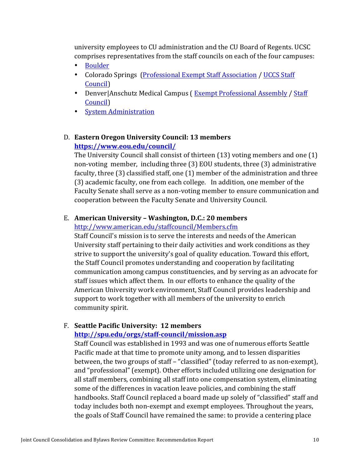university employees to CU administration and the CU Board of Regents. UCSC comprises representatives from the staff councils on each of the four campuses:

- Boulder
- Colorado Springs (Professional Exempt Staff Association / UCCS Staff Council)
- Denver|Anschutz Medical Campus (Exempt Professional Assembly / Staff Council)
- System Administration

#### D. **Eastern Oregon University Council: 13 members https://www.eou.edu/council/**

The University Council shall consist of thirteen  $(13)$  voting members and one  $(1)$ non-voting member, including three (3) EOU students, three (3) administrative faculty, three  $(3)$  classified staff, one  $(1)$  member of the administration and three (3) academic faculty, one from each college. In addition, one member of the Faculty Senate shall serve as a non-voting member to ensure communication and cooperation between the Faculty Senate and University Council.

#### E. **American University – Washington, D.C.: 20 members**

http://www.american.edu/staffcouncil/Members.cfm

Staff Council's mission is to serve the interests and needs of the American University staff pertaining to their daily activities and work conditions as they strive to support the university's goal of quality education. Toward this effort, the Staff Council promotes understanding and cooperation by facilitating communication among campus constituencies, and by serving as an advocate for staff issues which affect them. In our efforts to enhance the quality of the American University work environment, Staff Council provides leadership and support to work together with all members of the university to enrich community spirit.

#### F. Seattle Pacific University: 12 members

#### **http://spu.edu/orgs/staff-council/mission.asp**

Staff Council was established in 1993 and was one of numerous efforts Seattle Pacific made at that time to promote unity among, and to lessen disparities between, the two groups of staff - "classified" (today referred to as non-exempt), and "professional" (exempt). Other efforts included utilizing one designation for all staff members, combining all staff into one compensation system, eliminating some of the differences in vacation leave policies, and combining the staff handbooks. Staff Council replaced a board made up solely of "classified" staff and today includes both non-exempt and exempt employees. Throughout the years, the goals of Staff Council have remained the same: to provide a centering place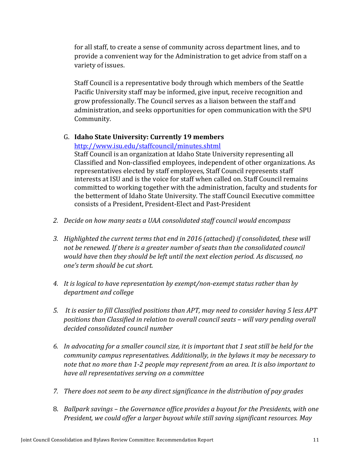for all staff, to create a sense of community across department lines, and to provide a convenient way for the Administration to get advice from staff on a variety of issues.

Staff Council is a representative body through which members of the Seattle Pacific University staff may be informed, give input, receive recognition and grow professionally. The Council serves as a liaison between the staff and administration, and seeks opportunities for open communication with the SPU Community.

#### G. **Idaho State University: Currently 19 members**

http://www.isu.edu/staffcouncil/minutes.shtml

Staff Council is an organization at Idaho State University representing all Classified and Non-classified employees, independent of other organizations. As representatives elected by staff employees, Staff Council represents staff interests at ISU and is the voice for staff when called on. Staff Council remains committed to working together with the administration, faculty and students for the betterment of Idaho State University. The staff Council Executive committee consists of a President, President-Elect and Past-President

- 2. Decide on how many seats a UAA consolidated staff council would encompass
- 3. Highlighted the current terms that end in 2016 (attached) if consolidated, these will not be renewed. If there is a greater number of seats than the consolidated council would have then they should be left until the next election period. As discussed, no *one's term should be cut short.*
- 4. It is logical to have representation by exempt/non-exempt status rather than by *department and college*
- 5. It is easier to fill Classified positions than APT, may need to consider having 5 less APT positions than Classified in relation to overall council seats – will vary pending overall decided consolidated council number
- 6. In advocating for a smaller council size, it is important that 1 seat still be held for the *community campus representatives. Additionally, in the bylaws it may be necessary to* note that no more than 1-2 people may represent from an area. It is also important to *have all representatives serving on a committee*
- *7.* There does not seem to be any direct significance in the distribution of pay grades
- 8. *Ballpark savings the Governance office provides a buyout for the Presidents, with one President, we could offer a larger buyout while still saving significant resources. May*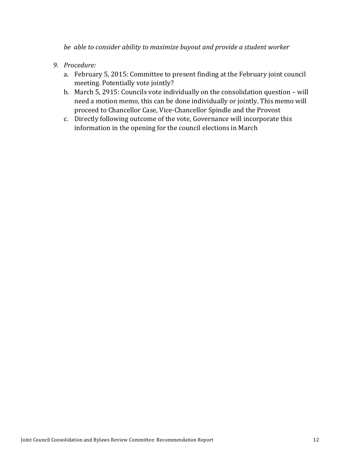*be able to consider ability to maximize buyout and provide a student worker* 

- *9. Procedure:*
	- a. February 5, 2015: Committee to present finding at the February joint council meeting. Potentially vote jointly?
	- b. March 5, 2915: Councils vote individually on the consolidation question will need a motion memo, this can be done individually or jointly. This memo will proceed to Chancellor Case, Vice-Chancellor Spindle and the Provost
	- c. Directly following outcome of the vote, Governance will incorporate this information in the opening for the council elections in March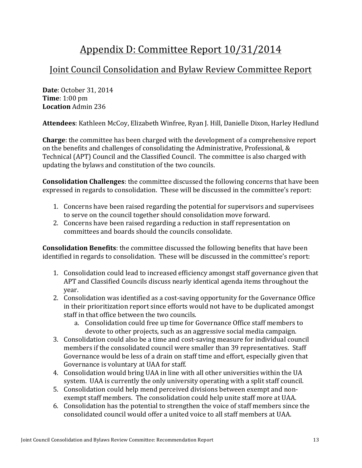## Appendix D: Committee Report  $10/31/2014$

### Joint Council Consolidation and Bylaw Review Committee Report

**Date**: October 31, 2014 **Time**: 1:00 pm **Location** Admin 236

Attendees: Kathleen McCoy, Elizabeth Winfree, Ryan J. Hill, Danielle Dixon, Harley Hedlund

**Charge**: the committee has been charged with the development of a comprehensive report on the benefits and challenges of consolidating the Administrative, Professional, & Technical (APT) Council and the Classified Council. The committee is also charged with updating the bylaws and constitution of the two councils.

**Consolidation Challenges**: the committee discussed the following concerns that have been expressed in regards to consolidation. These will be discussed in the committee's report:

- 1. Concerns have been raised regarding the potential for supervisors and supervisees to serve on the council together should consolidation move forward.
- 2. Concerns have been raised regarding a reduction in staff representation on committees and boards should the councils consolidate.

**Consolidation Benefits**: the committee discussed the following benefits that have been identified in regards to consolidation. These will be discussed in the committee's report:

- 1. Consolidation could lead to increased efficiency amongst staff governance given that APT and Classified Councils discuss nearly identical agenda items throughout the year.
- 2. Consolidation was identified as a cost-saving opportunity for the Governance Office in their prioritization report since efforts would not have to be duplicated amongst staff in that office between the two councils.
	- a. Consolidation could free up time for Governance Office staff members to devote to other projects, such as an aggressive social media campaign.
- 3. Consolidation could also be a time and cost-saving measure for individual council members if the consolidated council were smaller than 39 representatives. Staff Governance would be less of a drain on staff time and effort, especially given that Governance is voluntary at UAA for staff.
- 4. Consolidation would bring UAA in line with all other universities within the UA system. UAA is currently the only university operating with a split staff council.
- 5. Consolidation could help mend perceived divisions between exempt and nonexempt staff members. The consolidation could help unite staff more at UAA.
- 6. Consolidation has the potential to strengthen the voice of staff members since the consolidated council would offer a united voice to all staff members at UAA.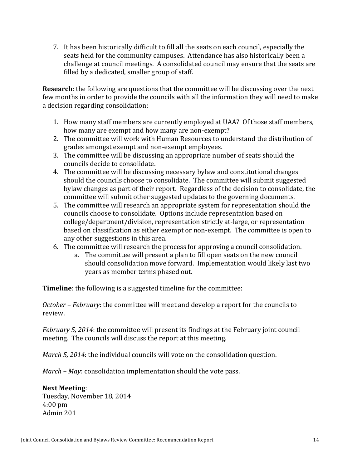7. It has been historically difficult to fill all the seats on each council, especially the seats held for the community campuses. Attendance has also historically been a challenge at council meetings. A consolidated council may ensure that the seats are filled by a dedicated, smaller group of staff.

**Research**: the following are questions that the committee will be discussing over the next few months in order to provide the councils with all the information they will need to make a decision regarding consolidation:

- 1. How many staff members are currently employed at UAA? Of those staff members, how many are exempt and how many are non-exempt?
- 2. The committee will work with Human Resources to understand the distribution of grades amongst exempt and non-exempt employees.
- 3. The committee will be discussing an appropriate number of seats should the councils decide to consolidate.
- 4. The committee will be discussing necessary bylaw and constitutional changes should the councils choose to consolidate. The committee will submit suggested bylaw changes as part of their report. Regardless of the decision to consolidate, the committee will submit other suggested updates to the governing documents.
- 5. The committee will research an appropriate system for representation should the councils choose to consolidate. Options include representation based on college/department/division, representation strictly at-large, or representation based on classification as either exempt or non-exempt. The committee is open to any other suggestions in this area.
- 6. The committee will research the process for approving a council consolidation.
	- a. The committee will present a plan to fill open seats on the new council should consolidation move forward. Implementation would likely last two years as member terms phased out.

**Timeline**: the following is a suggested timeline for the committee:

*October* – *February*: the committee will meet and develop a report for the councils to review.

*February* 5, 2014: the committee will present its findings at the February joint council meeting. The councils will discuss the report at this meeting.

*March* 5, 2014: the individual councils will vote on the consolidation question.

*March* – *May*: consolidation implementation should the vote pass.

#### **Next Meeting**:

Tuesday, November 18, 2014 4:00 pm Admin 201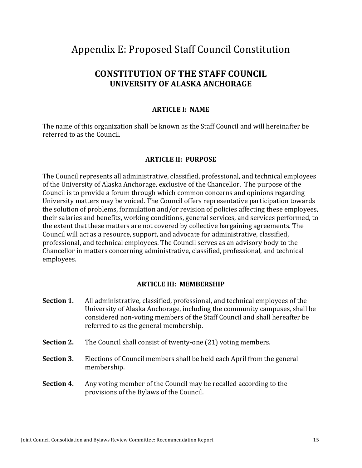### Appendix E: Proposed Staff Council Constitution

### **CONSTITUTION OF THE STAFF COUNCIL UNIVERSITY OF ALASKA ANCHORAGE**

#### **ARTICLE I: NAME**

The name of this organization shall be known as the Staff Council and will hereinafter be referred to as the Council.

#### **ARTICLE II: PURPOSE**

The Council represents all administrative, classified, professional, and technical employees of the University of Alaska Anchorage, exclusive of the Chancellor. The purpose of the Council is to provide a forum through which common concerns and opinions regarding University matters may be voiced. The Council offers representative participation towards the solution of problems, formulation and/or revision of policies affecting these employees, their salaries and benefits, working conditions, general services, and services performed, to the extent that these matters are not covered by collective bargaining agreements. The Council will act as a resource, support, and advocate for administrative, classified, professional, and technical employees. The Council serves as an advisory body to the Chancellor in matters concerning administrative, classified, professional, and technical employees.

#### **ARTICLE III: MEMBERSHIP**

- **Section 1.** All administrative, classified, professional, and technical employees of the University of Alaska Anchorage, including the community campuses, shall be considered non-voting members of the Staff Council and shall hereafter be referred to as the general membership.
- **Section 2.** The Council shall consist of twenty-one (21) voting members.
- **Section 3.** Elections of Council members shall be held each April from the general membership.
- **Section 4.** Any voting member of the Council may be recalled according to the provisions of the Bylaws of the Council.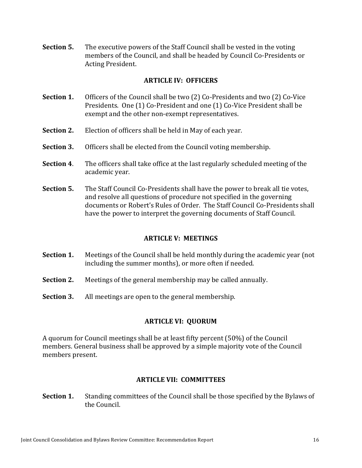**Section 5.** The executive powers of the Staff Council shall be vested in the voting members of the Council, and shall be headed by Council Co-Presidents or Acting President.

#### **ARTICLE IV: OFFICERS**

- **Section 1.** Officers of the Council shall be two (2) Co-Presidents and two (2) Co-Vice Presidents. One (1) Co-President and one (1) Co-Vice President shall be exempt and the other non-exempt representatives.
- **Section 2.** Election of officers shall be held in May of each year.
- **Section 3.** Officers shall be elected from the Council voting membership.
- **Section 4.** The officers shall take office at the last regularly scheduled meeting of the academic year.
- **Section 5.** The Staff Council Co-Presidents shall have the power to break all tie votes, and resolve all questions of procedure not specified in the governing documents or Robert's Rules of Order. The Staff Council Co-Presidents shall have the power to interpret the governing documents of Staff Council.

#### **ARTICLE V: MEETINGS**

- **Section 1.** Meetings of the Council shall be held monthly during the academic year (not including the summer months), or more often if needed.
- **Section 2.** Meetings of the general membership may be called annually.
- **Section 3.** All meetings are open to the general membership.

#### **ARTICLE VI: QUORUM**

A quorum for Council meetings shall be at least fifty percent (50%) of the Council members. General business shall be approved by a simple majority vote of the Council members present.

#### **ARTICLE VII: COMMITTEES**

**Section 1.** Standing committees of the Council shall be those specified by the Bylaws of the Council.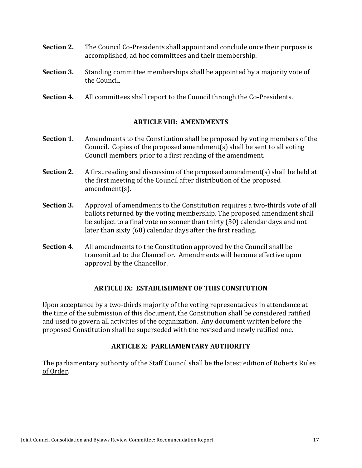- **Section 2.** The Council Co-Presidents shall appoint and conclude once their purpose is accomplished, ad hoc committees and their membership.
- **Section 3.** Standing committee memberships shall be appointed by a majority vote of the Council.
- **Section 4.** All committees shall report to the Council through the Co-Presidents.

#### **ARTICLE VIII: AMENDMENTS**

- **Section 1.** Amendments to the Constitution shall be proposed by voting members of the Council. Copies of the proposed amendment(s) shall be sent to all voting Council members prior to a first reading of the amendment.
- **Section 2.** A first reading and discussion of the proposed amendment(s) shall be held at the first meeting of the Council after distribution of the proposed amendment(s).
- **Section 3.** Approval of amendments to the Constitution requires a two-thirds vote of all ballots returned by the voting membership. The proposed amendment shall be subject to a final vote no sooner than thirty  $(30)$  calendar days and not later than sixty  $(60)$  calendar days after the first reading.
- **Section 4.** All amendments to the Constitution approved by the Council shall be transmitted to the Chancellor. Amendments will become effective upon approval by the Chancellor.

#### **ARTICLE IX: ESTABLISHMENT OF THIS CONSITUTION**

Upon acceptance by a two-thirds majority of the voting representatives in attendance at the time of the submission of this document, the Constitution shall be considered ratified and used to govern all activities of the organization. Any document written before the proposed Constitution shall be superseded with the revised and newly ratified one.

#### **ARTICLE X: PARLIAMENTARY AUTHORITY**

The parliamentary authority of the Staff Council shall be the latest edition of Roberts Rules of Order.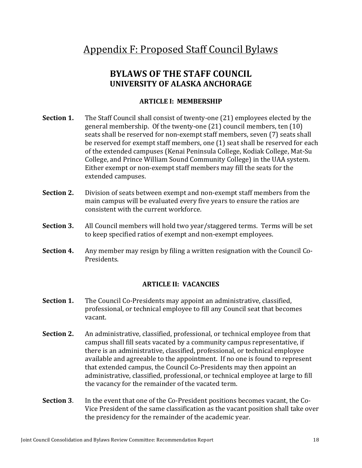### Appendix F: Proposed Staff Council Bylaws

### **BYLAWS OF THE STAFF COUNCIL UNIVERSITY OF ALASKA ANCHORAGE**

#### **ARTICLE I: MEMBERSHIP**

- **Section 1.** The Staff Council shall consist of twenty-one (21) employees elected by the general membership. Of the twenty-one  $(21)$  council members, ten  $(10)$ seats shall be reserved for non-exempt staff members, seven (7) seats shall be reserved for exempt staff members, one (1) seat shall be reserved for each of the extended campuses (Kenai Peninsula College, Kodiak College, Mat-Su College, and Prince William Sound Community College) in the UAA system. Either exempt or non-exempt staff members may fill the seats for the extended campuses.
- **Section 2.** Division of seats between exempt and non-exempt staff members from the main campus will be evaluated every five years to ensure the ratios are consistent with the current workforce.
- **Section 3.** All Council members will hold two year/staggered terms. Terms will be set to keep specified ratios of exempt and non-exempt employees.
- **Section 4.** Any member may resign by filing a written resignation with the Council Co-Presidents.

#### **ARTICLE II: VACANCIES**

- **Section 1.** The Council Co-Presidents may appoint an administrative, classified, professional, or technical employee to fill any Council seat that becomes vacant.
- **Section 2.** An administrative, classified, professional, or technical employee from that campus shall fill seats vacated by a community campus representative, if there is an administrative, classified, professional, or technical employee available and agreeable to the appointment. If no one is found to represent that extended campus, the Council Co-Presidents may then appoint an administrative, classified, professional, or technical employee at large to fill the vacancy for the remainder of the vacated term.
- **Section 3.** In the event that one of the Co-President positions becomes vacant, the Co-Vice President of the same classification as the vacant position shall take over the presidency for the remainder of the academic year.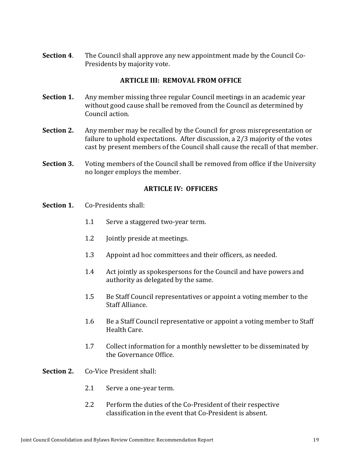**Section 4.** The Council shall approve any new appointment made by the Council Co-Presidents by majority vote.

#### **ARTICLE III: REMOVAL FROM OFFICE**

- **Section 1.** Any member missing three regular Council meetings in an academic year without good cause shall be removed from the Council as determined by Council action.
- **Section 2.** Any member may be recalled by the Council for gross misrepresentation or failure to uphold expectations. After discussion, a  $2/3$  majority of the votes cast by present members of the Council shall cause the recall of that member.
- **Section 3.** Voting members of the Council shall be removed from office if the University no longer employs the member.

#### **ARTICLE IV: OFFICERS**

- **Section 1.** Co-Presidents shall:
	- 1.1 Serve a staggered two-year term.
	- 1.2 **Jointly preside at meetings.**
	- 1.3 Appoint ad hoc committees and their officers, as needed.
	- 1.4 Act jointly as spokespersons for the Council and have powers and authority as delegated by the same.
	- 1.5 Be Staff Council representatives or appoint a voting member to the Staff Alliance.
	- 1.6 Be a Staff Council representative or appoint a voting member to Staff Health Care.
	- 1.7 Collect information for a monthly newsletter to be disseminated by the Governance Office.
- **Section 2.** Co-Vice President shall:
	- 2.1 Serve a one-year term.
	- 2.2 Perform the duties of the Co-President of their respective classification in the event that Co-President is absent.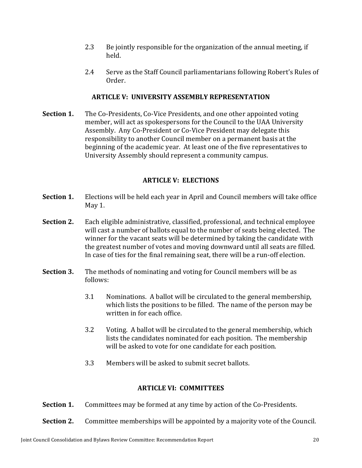- 2.3 Be jointly responsible for the organization of the annual meeting, if held.
- 2.4 Serve as the Staff Council parliamentarians following Robert's Rules of Order.

#### **ARTICLE V: UNIVERSITY ASSEMBLY REPRESENTATION**

**Section 1.** The Co-Presidents, Co-Vice Presidents, and one other appointed voting member, will act as spokespersons for the Council to the UAA University Assembly. Any Co-President or Co-Vice President may delegate this responsibility to another Council member on a permanent basis at the beginning of the academic year. At least one of the five representatives to University Assembly should represent a community campus.

#### **ARTICLE V: ELECTIONS**

- **Section 1.** Elections will be held each year in April and Council members will take office May 1.
- **Section 2.** Each eligible administrative, classified, professional, and technical employee will cast a number of ballots equal to the number of seats being elected. The winner for the vacant seats will be determined by taking the candidate with the greatest number of votes and moving downward until all seats are filled. In case of ties for the final remaining seat, there will be a run-off election.
- **Section 3.** The methods of nominating and voting for Council members will be as follows:
	- 3.1 Nominations. A ballot will be circulated to the general membership, which lists the positions to be filled. The name of the person may be written in for each office.
	- 3.2 Voting. A ballot will be circulated to the general membership, which lists the candidates nominated for each position. The membership will be asked to vote for one candidate for each position.
	- 3.3 Members will be asked to submit secret ballots.

#### **ARTICLE VI: COMMITTEES**

**Section 1.** Committees may be formed at any time by action of the Co-Presidents.

**Section 2.** Committee memberships will be appointed by a majority vote of the Council.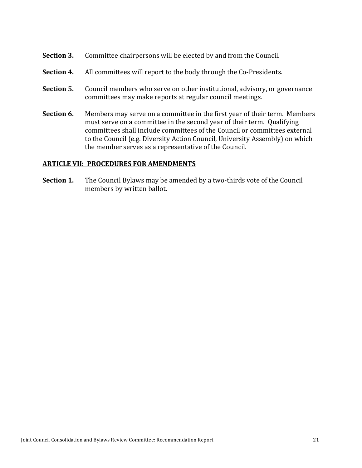- **Section 3.** Committee chairpersons will be elected by and from the Council.
- **Section 4.** All committees will report to the body through the Co-Presidents.
- **Section 5.** Council members who serve on other institutional, advisory, or governance committees may make reports at regular council meetings.
- **Section 6.** Members may serve on a committee in the first year of their term. Members must serve on a committee in the second year of their term. Qualifying committees shall include committees of the Council or committees external to the Council (e.g. Diversity Action Council, University Assembly) on which the member serves as a representative of the Council.

#### **ARTICLE VII: PROCEDURES FOR AMENDMENTS**

**Section 1.** The Council Bylaws may be amended by a two-thirds vote of the Council members by written ballot.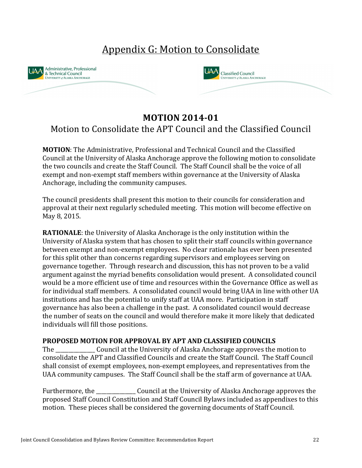## Appendix G: Motion to Consolidate





### **MOTION 2014-01**

### Motion to Consolidate the APT Council and the Classified Council

**MOTION:** The Administrative, Professional and Technical Council and the Classified Council at the University of Alaska Anchorage approve the following motion to consolidate the two councils and create the Staff Council. The Staff Council shall be the voice of all exempt and non-exempt staff members within governance at the University of Alaska Anchorage, including the community campuses.

The council presidents shall present this motion to their councils for consideration and approval at their next regularly scheduled meeting. This motion will become effective on May 8, 2015.

**RATIONALE:** the University of Alaska Anchorage is the only institution within the University of Alaska system that has chosen to split their staff councils within governance between exempt and non-exempt employees. No clear rationale has ever been presented for this split other than concerns regarding supervisors and employees serving on governance together. Through research and discussion, this has not proven to be a valid argument against the myriad benefits consolidation would present. A consolidated council would be a more efficient use of time and resources within the Governance Office as well as for individual staff members. A consolidated council would bring UAA in line with other UA institutions and has the potential to unify staff at UAA more. Participation in staff governance has also been a challenge in the past. A consolidated council would decrease the number of seats on the council and would therefore make it more likely that dedicated individuals will fill those positions.

#### **PROPOSED MOTION FOR APPROVAL BY APT AND CLASSIFIED COUNCILS**

The Council at the University of Alaska Anchorage approves the motion to consolidate the APT and Classified Councils and create the Staff Council. The Staff Council shall consist of exempt employees, non-exempt employees, and representatives from the UAA community campuses. The Staff Council shall be the staff arm of governance at UAA.

Furthermore, the \_\_\_\_\_\_\_\_\_\_\_\_\_\_\_ Council at the University of Alaska Anchorage approves the proposed Staff Council Constitution and Staff Council Bylaws included as appendixes to this motion. These pieces shall be considered the governing documents of Staff Council.